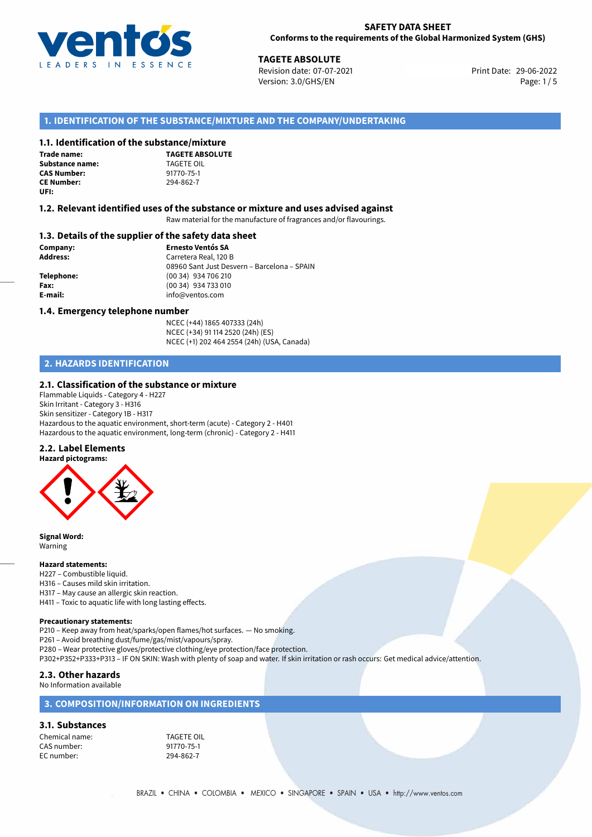

**TAGETE ABSOLUTE**<br>
Revision date: 07-07-2021 **Print Date: 29-06-2022** Version: 3.0/GHS/EN Page: 1/5

## **1. IDENTIFICATION OF THE SUBSTANCE/MIXTURE AND THE COMPANY/UNDERTAKING**

### **1.1. Identification of the substance/mixture**

**Trade name: Substance name:** TAGETE OIL<br> **CAS Number:** 91770-75-1 **CAS Number: CE Number:** 294-862-7 **UFI:**

**TAGETE ABSOLUTE**

#### **1.2. Relevant identified uses of the substance or mixture and uses advised against**

Raw material for the manufacture of fragrances and/or flavourings.

#### **1.3. Details of the supplier of the safety data sheet**

**Company: Ernesto Ventós SA Address:** Carretera Real, 120 B 08960 Sant Just Desvern – Barcelona – SPAIN **Telephone:** (00 34) 934 706 210 **Fax:** (00 34) 934 733 010 **E-mail:** info@ventos.com

#### **1.4. Emergency telephone number**

NCEC (+44) 1865 407333 (24h) NCEC (+34) 91 114 2520 (24h) (ES) NCEC (+1) 202 464 2554 (24h) (USA, Canada)

## **2. HAZARDS IDENTIFICATION**

#### **2.1. Classification of the substance or mixture**

Flammable Liquids - Category 4 - H227 Skin Irritant - Category 3 - H316 Skin sensitizer - Category 1B - H317 Hazardous to the aquatic environment, short-term (acute) - Category 2 - H401 Hazardous to the aquatic environment, long-term (chronic) - Category 2 - H411

#### **2.2. Label Elements**



**Signal Word:** Warning

#### **Hazard statements:**

- H227 Combustible liquid.
- H316 Causes mild skin irritation.
- H317 May cause an allergic skin reaction.
- H411 Toxic to aquatic life with long lasting effects.

#### **Precautionary statements:**

P210 – Keep away from heat/sparks/open flames/hot surfaces. — No smoking.

P261 – Avoid breathing dust/fume/gas/mist/vapours/spray.

P280 – Wear protective gloves/protective clothing/eye protection/face protection.

P302+P352+P333+P313 – IF ON SKIN: Wash with plenty of soap and water. If skin irritation or rash occurs: Get medical advice/attention.

#### **2.3. Other hazards**

No Information available

### **3. COMPOSITION/INFORMATION ON INGREDIENTS**

## **3.1. Substances**

Chemical name: TAGETE OIL CAS number: 91770-75-1<br>EC number: 294-862-7 EC number: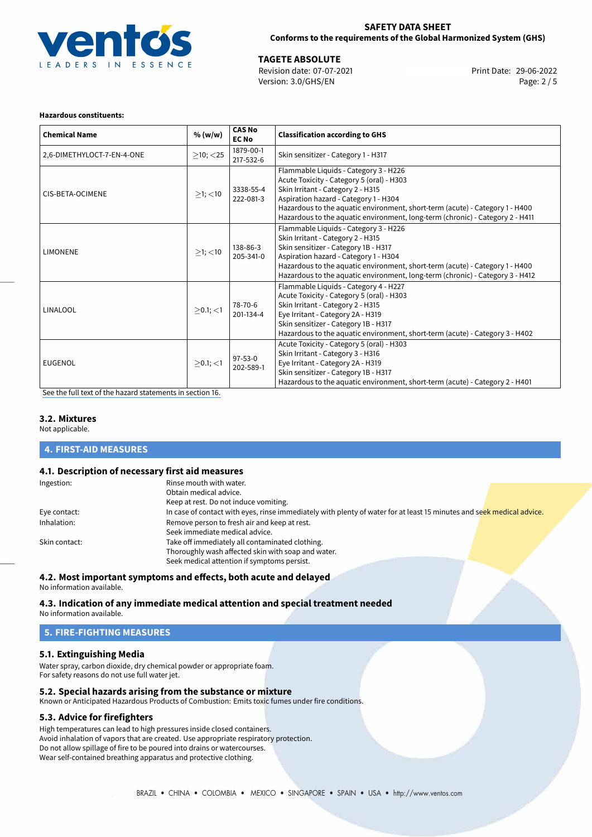

## **SAFETY DATA SHEET Conforms to the requirements of the Global Harmonized System (GHS)**

29-06-2022 **TAGETE ABSOLUTE** Revision date: 07-07-2021 Print Date: Version: 3.0/GHS/EN Page: 2 / 5

#### **Hazardous constituents:**

| <b>Chemical Name</b>       | % (w/w)        | <b>CAS No</b><br><b>EC No</b> | <b>Classification according to GHS</b>                                                                                                                                                                                                                                                                                            |
|----------------------------|----------------|-------------------------------|-----------------------------------------------------------------------------------------------------------------------------------------------------------------------------------------------------------------------------------------------------------------------------------------------------------------------------------|
| 2,6-DIMETHYLOCT-7-EN-4-ONE | $>10$ ; $<$ 25 | 1879-00-1<br>217-532-6        | Skin sensitizer - Category 1 - H317                                                                                                                                                                                                                                                                                               |
| CIS-BETA-OCIMENE           | $>1$ ; $<$ 10  | 3338-55-4<br>222-081-3        | Flammable Liquids - Category 3 - H226<br>Acute Toxicity - Category 5 (oral) - H303<br>Skin Irritant - Category 2 - H315<br>Aspiration hazard - Category 1 - H304<br>Hazardous to the aquatic environment, short-term (acute) - Category 1 - H400<br>Hazardous to the aquatic environment, long-term (chronic) - Category 2 - H411 |
| <b>LIMONENE</b>            | $\geq$ 1; <10  | 138-86-3<br>205-341-0         | Flammable Liquids - Category 3 - H226<br>Skin Irritant - Category 2 - H315<br>Skin sensitizer - Category 1B - H317<br>Aspiration hazard - Category 1 - H304<br>Hazardous to the aquatic environment, short-term (acute) - Category 1 - H400<br>Hazardous to the aquatic environment, long-term (chronic) - Category 3 - H412      |
| <b>LINALOOL</b>            | $>0.1$ ; <1    | 78-70-6<br>201-134-4          | Flammable Liquids - Category 4 - H227<br>Acute Toxicity - Category 5 (oral) - H303<br>Skin Irritant - Category 2 - H315<br>Eye Irritant - Category 2A - H319<br>Skin sensitizer - Category 1B - H317<br>Hazardous to the aquatic environment, short-term (acute) - Category 3 - H402                                              |
| EUGENOL                    | $\geq$ 0.1; <1 | 97-53-0<br>202-589-1          | Acute Toxicity - Category 5 (oral) - H303<br>Skin Irritant - Category 3 - H316<br>Eye Irritant - Category 2A - H319<br>Skin sensitizer - Category 1B - H317<br>Hazardous to the aquatic environment, short-term (acute) - Category 2 - H401                                                                                       |

[See the full text of the hazard statements in section 16.](#page-4-0)

## **3.2. Mixtures**

Not applicable.

**4. FIRST-AID MEASURES**

### **4.1. Description of necessary first aid measures**

| Ingestion:    | Rinse mouth with water.                                                                                               |
|---------------|-----------------------------------------------------------------------------------------------------------------------|
|               | Obtain medical advice.                                                                                                |
|               | Keep at rest. Do not induce vomiting.                                                                                 |
| Eye contact:  | In case of contact with eyes, rinse immediately with plenty of water for at least 15 minutes and seek medical advice. |
| Inhalation:   | Remove person to fresh air and keep at rest.                                                                          |
|               | Seek immediate medical advice.                                                                                        |
| Skin contact: | Take off immediately all contaminated clothing.                                                                       |
|               | Thoroughly wash affected skin with soap and water.                                                                    |
|               | Seek medical attention if symptoms persist.                                                                           |

#### **4.2. Most important symptoms and effects, both acute and delayed** No information available.

### **4.3. Indication of any immediate medical attention and special treatment needed**

No information available.

## **5. FIRE-FIGHTING MEASURES**

### **5.1. Extinguishing Media**

Water spray, carbon dioxide, dry chemical powder or appropriate foam. For safety reasons do not use full water jet.

#### **5.2. Special hazards arising from the substance or mixture**

Known or Anticipated Hazardous Products of Combustion: Emits toxic fumes under fire conditions.

### **5.3. Advice for firefighters**

High temperatures can lead to high pressures inside closed containers. Avoid inhalation of vapors that are created. Use appropriate respiratory protection. Do not allow spillage of fire to be poured into drains or watercourses. Wear self-contained breathing apparatus and protective clothing.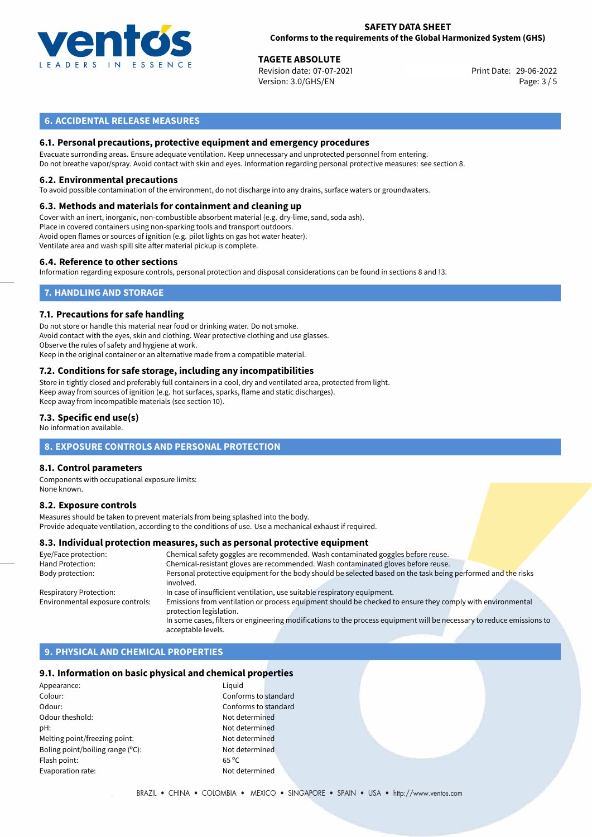

#### **SAFETY DATA SHEET Conforms to the requirements of the Global Harmonized System (GHS)**

29-06-2022 **TAGETE ABSOLUTE** Revision date: 07-07-2021 Print Date: Version: 3.0/GHS/EN Page: 3 / 5

## **6. ACCIDENTAL RELEASE MEASURES**

### **6.1. Personal precautions, protective equipment and emergency procedures**

Evacuate surronding areas. Ensure adequate ventilation. Keep unnecessary and unprotected personnel from entering. Do not breathe vapor/spray. Avoid contact with skin and eyes. Information regarding personal protective measures: see section 8.

#### **6.2. Environmental precautions**

To avoid possible contamination of the environment, do not discharge into any drains, surface waters or groundwaters.

#### **6.3. Methods and materials for containment and cleaning up**

Cover with an inert, inorganic, non-combustible absorbent material (e.g. dry-lime, sand, soda ash). Place in covered containers using non-sparking tools and transport outdoors. Avoid open flames or sources of ignition (e.g. pilot lights on gas hot water heater). Ventilate area and wash spill site after material pickup is complete.

#### **6.4. Reference to other sections**

Information regarding exposure controls, personal protection and disposal considerations can be found in sections 8 and 13.

## **7. HANDLING AND STORAGE**

#### **7.1. Precautions for safe handling**

Do not store or handle this material near food or drinking water. Do not smoke. Avoid contact with the eyes, skin and clothing. Wear protective clothing and use glasses. Observe the rules of safety and hygiene at work. Keep in the original container or an alternative made from a compatible material.

# **7.2. Conditions for safe storage, including any incompatibilities**

Store in tightly closed and preferably full containers in a cool, dry and ventilated area, protected from light. Keep away from sources of ignition (e.g. hot surfaces, sparks, flame and static discharges). Keep away from incompatible materials (see section 10).

#### **7.3. Specific end use(s)**

No information available.

### **8. EXPOSURE CONTROLS AND PERSONAL PROTECTION**

#### **8.1. Control parameters**

Components with occupational exposure limits: None known.

#### **8.2. Exposure controls**

Measures should be taken to prevent materials from being splashed into the body. Provide adequate ventilation, according to the conditions of use. Use a mechanical exhaust if required.

#### **8.3. Individual protection measures, such as personal protective equipment**

| Eye/Face protection:             | Chemical safety goggles are recommended. Wash contaminated goggles before reuse.                                                      |  |  |  |  |
|----------------------------------|---------------------------------------------------------------------------------------------------------------------------------------|--|--|--|--|
| Hand Protection:                 | Chemical-resistant gloves are recommended. Wash contaminated gloves before reuse.                                                     |  |  |  |  |
| Body protection:                 | Personal protective equipment for the body should be selected based on the task being performed and the risks<br>involved.            |  |  |  |  |
| <b>Respiratory Protection:</b>   | In case of insufficient ventilation, use suitable respiratory equipment.                                                              |  |  |  |  |
| Environmental exposure controls: | Emissions from ventilation or process equipment should be checked to ensure they comply with environmental<br>protection legislation. |  |  |  |  |
|                                  | In some cases, filters or engineering modifications to the process equipment will be necessary to reduce emissions to                 |  |  |  |  |
|                                  | acceptable levels.                                                                                                                    |  |  |  |  |

## **9. PHYSICAL AND CHEMICAL PROPERTIES**

#### **9.1. Information on basic physical and chemical properties**

| Appearance:                      | Liguid         |
|----------------------------------|----------------|
| Colour:                          | Confo          |
| Odour:                           | Confo          |
| Odour theshold:                  | Not de         |
| pH:                              | Not de         |
| Melting point/freezing point:    | Not de         |
| Boling point/boiling range (°C): | Not de         |
| Flash point:                     | $65^{\circ}$ C |
| Evaporation rate:                | Not de         |
|                                  |                |

Conforms to standard Conforms to standard Not determined Not determined Not determined Not determined Not determined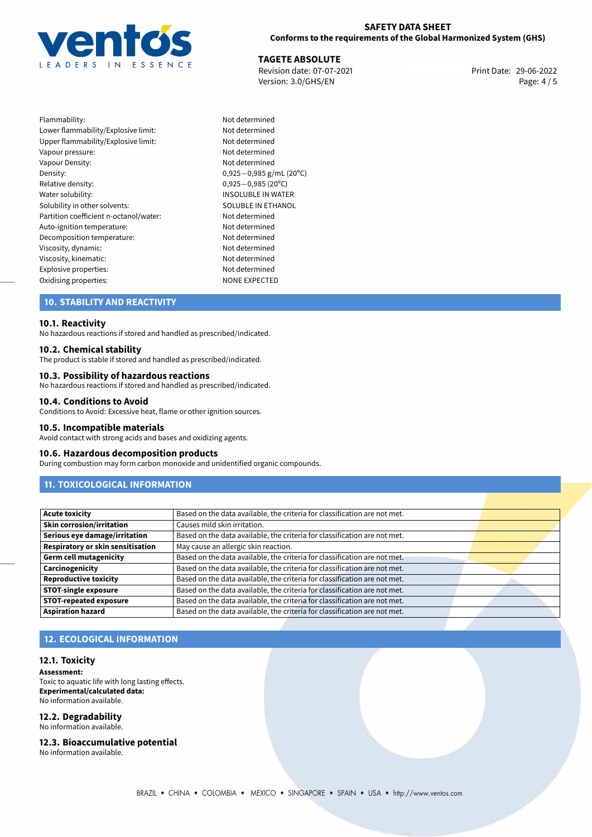

## **SAFETY DATA SHEET Conforms to the requirements of the Global Harmonized System (GHS)**

29-06-2022 **TAGETE ABSOLUTE** Revision date: 07-07-2021 Print Date: Version: 3.0/GHS/EN Page: 4 / 5

| Flammability:                          |
|----------------------------------------|
| Lower flammability/Explosive limit:    |
| Upper flammability/Explosive limit:    |
| Vapour pressure:                       |
| Vapour Density:                        |
| Density:                               |
| Relative density:                      |
| Water solubility:                      |
| Solubility in other solvents:          |
| Partition coefficient n-octanol/water: |
| Auto-ignition temperature:             |
| Decomposition temperature:             |
| Viscosity, dynamic:                    |
| Viscosity, kinematic:                  |
| Explosive properties:                  |
| Oxidising properties:                  |

Not determined Not determined Not determined Not determined Not determined Density: 0,925*−*0,985 g/mL (20ºC) Relative density: 0,925*−*0,985 (20ºC) INSOLUBLE IN WATER SOLUBLE IN ETHANOL Not determined Not determined Not determined Not determined Not determined Not determined<br>NONE EXPECTED

## **10. STABILITY AND REACTIVITY**

### **10.1. Reactivity**

No hazardous reactions if stored and handled as prescribed/indicated.

#### **10.2. Chemical stability**

The product is stable if stored and handled as prescribed/indicated.

#### **10.3. Possibility of hazardous reactions**

No hazardous reactions if stored and handled as prescribed/indicated.

#### **10.4. Conditions to Avoid**

Conditions to Avoid: Excessive heat, flame or other ignition sources.

#### **10.5. Incompatible materials**

Avoid contact with strong acids and bases and oxidizing agents.

#### **10.6. Hazardous decomposition products**

During combustion may form carbon monoxide and unidentified organic compounds.

## **11. TOXICOLOGICAL INFORMATION**

| <b>Acute toxicity</b>                    | Based on the data available, the criteria for classification are not met. |  |
|------------------------------------------|---------------------------------------------------------------------------|--|
| Skin corrosion/irritation                | Causes mild skin irritation.                                              |  |
| Serious eye damage/irritation            | Based on the data available, the criteria for classification are not met. |  |
| <b>Respiratory or skin sensitisation</b> | May cause an allergic skin reaction.                                      |  |
| Germ cell mutagenicity                   | Based on the data available, the criteria for classification are not met. |  |
| Carcinogenicity                          | Based on the data available, the criteria for classification are not met. |  |
| <b>Reproductive toxicity</b>             | Based on the data available, the criteria for classification are not met. |  |
| STOT-single exposure                     | Based on the data available, the criteria for classification are not met. |  |
| <b>STOT-repeated exposure</b>            | Based on the data available, the criteria for classification are not met. |  |
| <b>Aspiration hazard</b>                 | Based on the data available, the criteria for classification are not met. |  |

## **12. ECOLOGICAL INFORMATION**

#### **12.1. Toxicity**

**Assessment:** Toxic to aquatic life with long lasting effects. **Experimental/calculated data:** No information available.

# **12.2. Degradability**

No information available.

#### **12.3. Bioaccumulative potential**

No information available.